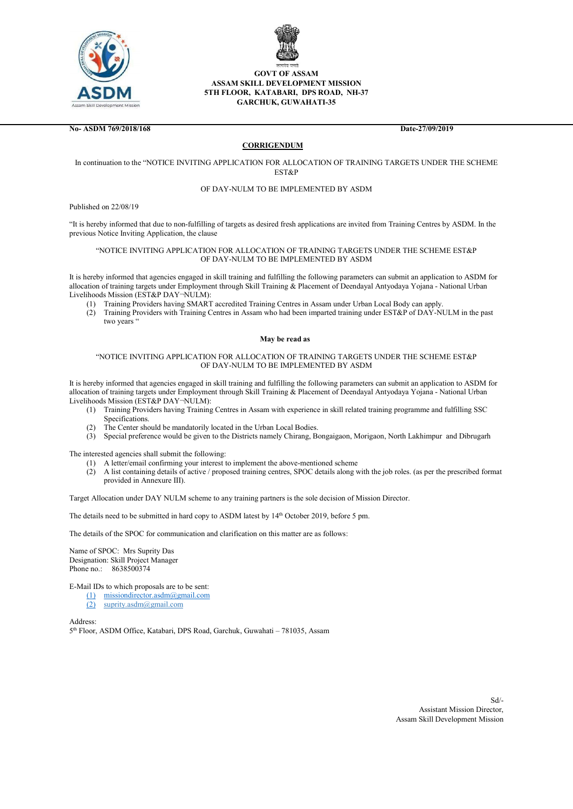



# GOVT OF ASSAM ASSAM SKILL DEVELOPMENT MISSION 5TH FLOOR, KATABARI, DPS ROAD, NH-37 GARCHUK, GUWAHATI-35

No- ASDM 769/2018/168 Date-27/09/2019

# **CORRIGENDUM**

# In continuation to the "NOTICE INVITING APPLICATION FOR ALLOCATION OF TRAINING TARGETS UNDER THE SCHEME EST&P

### OF DAY-NULM TO BE IMPLEMENTED BY ASDM

Published on 22/08/19

"It is hereby informed that due to non-fulfilling of targets as desired fresh applications are invited from Training Centres by ASDM. In the previous Notice Inviting Application, the clause

#### "NOTICE INVITING APPLICATION FOR ALLOCATION OF TRAINING TARGETS UNDER THE SCHEME EST&P OF DAY-NULM TO BE IMPLEMENTED BY ASDM

It is hereby informed that agencies engaged in skill training and fulfilling the following parameters can submit an application to ASDM for allocation of training targets under Employment through Skill Training & Placement of Deendayal Antyodaya Yojana - National Urban Livelihoods Mission (EST&P DAY¬NULM):

- (1) Training Providers having SMART accredited Training Centres in Assam under Urban Local Body can apply.
- (2) Training Providers with Training Centres in Assam who had been imparted training under EST&P of DAY-NULM in the past two years "

#### May be read as

## "NOTICE INVITING APPLICATION FOR ALLOCATION OF TRAINING TARGETS UNDER THE SCHEME EST&P OF DAY-NULM TO BE IMPLEMENTED BY ASDM

It is hereby informed that agencies engaged in skill training and fulfilling the following parameters can submit an application to ASDM for allocation of training targets under Employment through Skill Training & Placement of Deendayal Antyodaya Yojana - National Urban Livelihoods Mission (EST&P DAY¬NULM):

- (1) Training Providers having Training Centres in Assam with experience in skill related training programme and fulfilling SSC Specifications.
- (2) The Center should be mandatorily located in the Urban Local Bodies.
- (3) Special preference would be given to the Districts namely Chirang, Bongaigaon, Morigaon, North Lakhimpur and Dibrugarh

The interested agencies shall submit the following:

- A letter/email confirming your interest to implement the above-mentioned scheme
- (2) A list containing details of active / proposed training centres, SPOC details along with the job roles. (as per the prescribed format provided in Annexure III).

Target Allocation under DAY NULM scheme to any training partners is the sole decision of Mission Director.

The details need to be submitted in hard copy to ASDM latest by 14<sup>th</sup> October 2019, before 5 pm.

The details of the SPOC for communication and clarification on this matter are as follows:

Name of SPOC: Mrs Suprity Das Designation: Skill Project Manager Phone no.: 8638500374

E-Mail IDs to which proposals are to be sent:

- (1) missiondirector.asdm@gmail.com
- (2) suprity.asdm@gmail.com

Address: 5 th Floor, ASDM Office, Katabari, DPS Road, Garchuk, Guwahati – 781035, Assam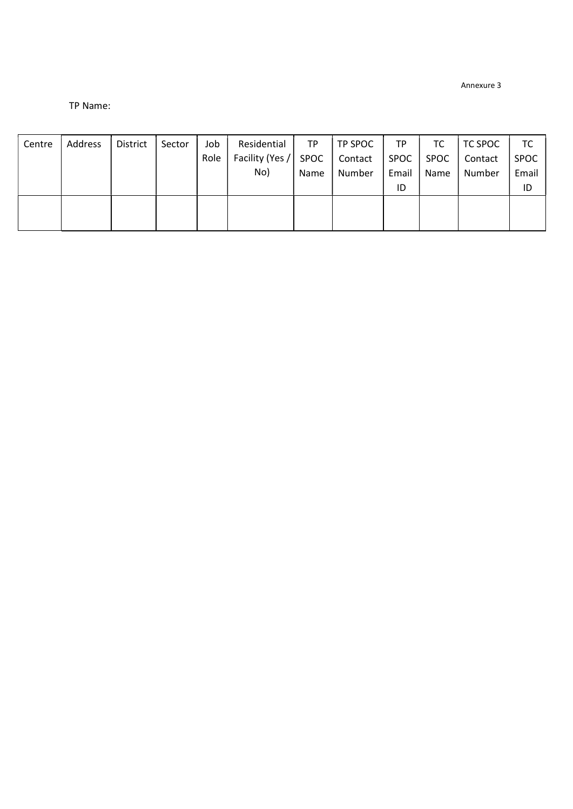Annexure 3

# TP Name:

| Address | District | Sector | Job  | Residential | <b>TP</b> |                      | <b>TP</b>   | TC   | TC SPOC | TC          |
|---------|----------|--------|------|-------------|-----------|----------------------|-------------|------|---------|-------------|
|         |          |        | Role |             |           | Contact              | <b>SPOC</b> | SPOC | Contact | <b>SPOC</b> |
|         |          |        |      | No)         | Name      | Number               | Email       | Name | Number  | Email       |
|         |          |        |      |             |           |                      | ID          |      |         | ID          |
|         |          |        |      |             |           |                      |             |      |         |             |
|         |          |        |      |             |           |                      |             |      |         |             |
|         |          |        |      |             |           | Facility (Yes / SPOC | TP SPOC     |      |         |             |